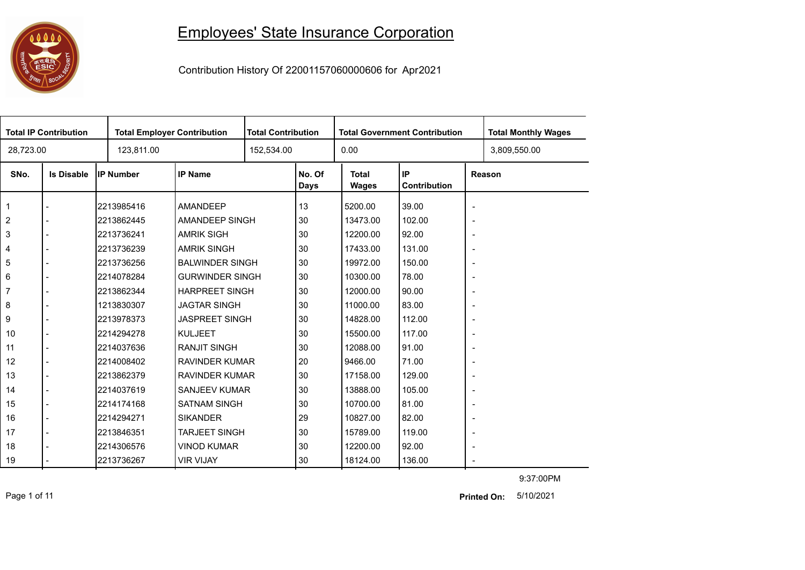## 

## Employees' State Insurance Corporation

Contribution History Of 22001157060000606 for Apr2021

| 0.00<br>28,723.00<br>123,811.00<br>152,534.00<br>3,809,550.00<br>IP<br>IP Number<br><b>IP Name</b><br>No. Of<br><b>Total</b><br>SNo.<br><b>Is Disable</b><br>Reason<br>Contribution<br><b>Days</b><br><b>Wages</b><br>13<br>5200.00<br>39.00<br>$\mathbf{1}$<br>2213985416<br><b>AMANDEEP</b><br>$\overline{\phantom{a}}$<br>2<br>2213862445<br>AMANDEEP SINGH<br>30<br>13473.00<br>102.00<br>$\overline{a}$<br>$\overline{\phantom{a}}$<br>3<br><b>AMRIK SIGH</b><br>30<br>12200.00<br>92.00<br>2213736241<br>$\overline{\phantom{a}}$<br><b>AMRIK SINGH</b><br>30<br>17433.00<br>131.00<br>2213736239<br>4<br>$\overline{\phantom{a}}$<br>5<br>30<br><b>BALWINDER SINGH</b><br>19972.00<br>150.00<br>2213736256<br>$\blacksquare$ | <b>Total Monthly Wages</b> |
|-------------------------------------------------------------------------------------------------------------------------------------------------------------------------------------------------------------------------------------------------------------------------------------------------------------------------------------------------------------------------------------------------------------------------------------------------------------------------------------------------------------------------------------------------------------------------------------------------------------------------------------------------------------------------------------------------------------------------------------|----------------------------|
|                                                                                                                                                                                                                                                                                                                                                                                                                                                                                                                                                                                                                                                                                                                                     |                            |
|                                                                                                                                                                                                                                                                                                                                                                                                                                                                                                                                                                                                                                                                                                                                     |                            |
|                                                                                                                                                                                                                                                                                                                                                                                                                                                                                                                                                                                                                                                                                                                                     |                            |
|                                                                                                                                                                                                                                                                                                                                                                                                                                                                                                                                                                                                                                                                                                                                     |                            |
|                                                                                                                                                                                                                                                                                                                                                                                                                                                                                                                                                                                                                                                                                                                                     |                            |
|                                                                                                                                                                                                                                                                                                                                                                                                                                                                                                                                                                                                                                                                                                                                     |                            |
|                                                                                                                                                                                                                                                                                                                                                                                                                                                                                                                                                                                                                                                                                                                                     |                            |
| 6<br>2214078284<br><b>GURWINDER SINGH</b><br>30<br>10300.00<br>78.00<br>$\overline{\phantom{a}}$                                                                                                                                                                                                                                                                                                                                                                                                                                                                                                                                                                                                                                    |                            |
| $\overline{7}$<br><b>HARPREET SINGH</b><br>30<br>2213862344<br>12000.00<br>90.00<br>$\overline{\phantom{a}}$                                                                                                                                                                                                                                                                                                                                                                                                                                                                                                                                                                                                                        |                            |
| 8<br><b>JAGTAR SINGH</b><br>1213830307<br>30<br>11000.00<br>83.00<br>$\sim$                                                                                                                                                                                                                                                                                                                                                                                                                                                                                                                                                                                                                                                         |                            |
| 9<br><b>JASPREET SINGH</b><br>30<br>112.00<br>2213978373<br>14828.00<br>$\overline{\phantom{a}}$                                                                                                                                                                                                                                                                                                                                                                                                                                                                                                                                                                                                                                    |                            |
| <b>KULJEET</b><br>30<br>117.00<br>10<br>2214294278<br>15500.00<br>$\overline{a}$<br>$\overline{\phantom{a}}$                                                                                                                                                                                                                                                                                                                                                                                                                                                                                                                                                                                                                        |                            |
| 11<br>2214037636<br><b>RANJIT SINGH</b><br>30<br>12088.00<br>91.00<br>$\blacksquare$                                                                                                                                                                                                                                                                                                                                                                                                                                                                                                                                                                                                                                                |                            |
| 12<br><b>RAVINDER KUMAR</b><br>20<br>9466.00<br>71.00<br>2214008402<br>$\overline{\phantom{a}}$                                                                                                                                                                                                                                                                                                                                                                                                                                                                                                                                                                                                                                     |                            |
| <b>RAVINDER KUMAR</b><br>13<br>2213862379<br>30<br>17158.00<br>129.00<br>$\overline{\phantom{a}}$                                                                                                                                                                                                                                                                                                                                                                                                                                                                                                                                                                                                                                   |                            |
| 2214037619<br>SANJEEV KUMAR<br>30<br>13888.00<br>105.00<br>14<br>$\overline{\phantom{a}}$                                                                                                                                                                                                                                                                                                                                                                                                                                                                                                                                                                                                                                           |                            |
| <b>SATNAM SINGH</b><br>15<br>2214174168<br>30<br>10700.00<br>81.00<br>$\overline{\phantom{a}}$                                                                                                                                                                                                                                                                                                                                                                                                                                                                                                                                                                                                                                      |                            |
| 16<br>2214294271<br><b>SIKANDER</b><br>29<br>10827.00<br>82.00<br>$\blacksquare$<br>$\overline{\phantom{a}}$                                                                                                                                                                                                                                                                                                                                                                                                                                                                                                                                                                                                                        |                            |
| <b>TARJEET SINGH</b><br>30<br>17<br>2213846351<br>15789.00<br>119.00<br>$\overline{\phantom{a}}$                                                                                                                                                                                                                                                                                                                                                                                                                                                                                                                                                                                                                                    |                            |
| <b>VINOD KUMAR</b><br>18<br>2214306576<br>30<br>12200.00<br>92.00<br>$\overline{\phantom{a}}$                                                                                                                                                                                                                                                                                                                                                                                                                                                                                                                                                                                                                                       |                            |
| 2213736267<br><b>VIR VIJAY</b><br>18124.00<br>136.00<br>19<br>30<br>$\overline{\phantom{a}}$                                                                                                                                                                                                                                                                                                                                                                                                                                                                                                                                                                                                                                        |                            |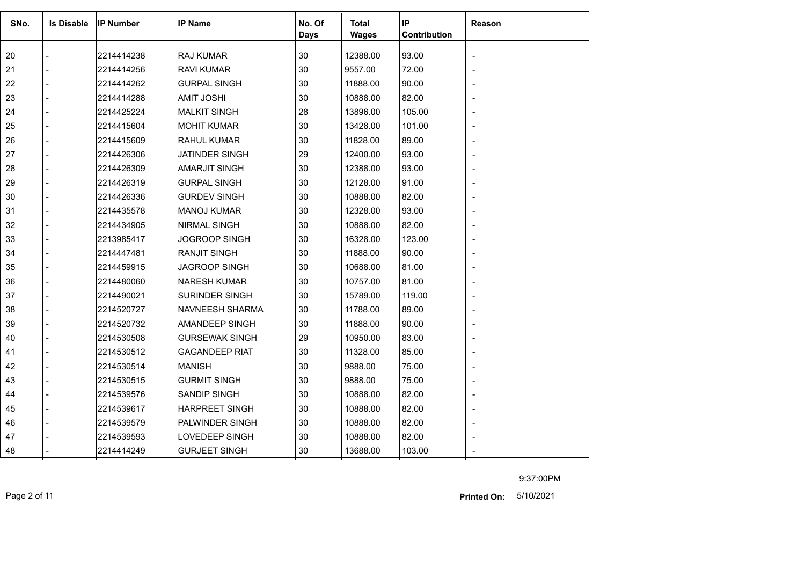| SNo. | <b>Is Disable</b> | <b>IP Number</b> | <b>IP Name</b>        | No. Of<br><b>Days</b> | Total<br><b>Wages</b> | IP<br>Contribution | Reason |
|------|-------------------|------------------|-----------------------|-----------------------|-----------------------|--------------------|--------|
| 20   |                   | 2214414238       | RAJ KUMAR             | 30                    | 12388.00              | 93.00              |        |
| 21   |                   | 2214414256       | <b>RAVI KUMAR</b>     | 30                    | 9557.00               | 72.00              |        |
| 22   |                   | 2214414262       | <b>GURPAL SINGH</b>   | 30                    | 11888.00              | 90.00              |        |
| 23   |                   | 2214414288       | <b>AMIT JOSHI</b>     | 30                    | 10888.00              | 82.00              |        |
| 24   |                   | 2214425224       | <b>MALKIT SINGH</b>   | 28                    | 13896.00              | 105.00             |        |
| 25   |                   | 2214415604       | <b>MOHIT KUMAR</b>    | 30                    | 13428.00              | 101.00             |        |
| 26   |                   | 2214415609       | <b>RAHUL KUMAR</b>    | 30                    | 11828.00              | 89.00              |        |
| 27   |                   | 2214426306       | <b>JATINDER SINGH</b> | 29                    | 12400.00              | 93.00              |        |
| 28   |                   | 2214426309       | <b>AMARJIT SINGH</b>  | 30                    | 12388.00              | 93.00              |        |
| 29   |                   | 2214426319       | <b>GURPAL SINGH</b>   | 30                    | 12128.00              | 91.00              |        |
| 30   |                   | 2214426336       | <b>GURDEV SINGH</b>   | 30                    | 10888.00              | 82.00              |        |
| 31   |                   | 2214435578       | <b>MANOJ KUMAR</b>    | 30                    | 12328.00              | 93.00              |        |
| 32   |                   | 2214434905       | <b>NIRMAL SINGH</b>   | 30                    | 10888.00              | 82.00              |        |
| 33   |                   | 2213985417       | <b>JOGROOP SINGH</b>  | 30                    | 16328.00              | 123.00             |        |
| 34   |                   | 2214447481       | <b>RANJIT SINGH</b>   | 30                    | 11888.00              | 90.00              |        |
| 35   |                   | 2214459915       | <b>JAGROOP SINGH</b>  | 30                    | 10688.00              | 81.00              |        |
| 36   |                   | 2214480060       | <b>NARESH KUMAR</b>   | 30                    | 10757.00              | 81.00              |        |
| 37   |                   | 2214490021       | <b>SURINDER SINGH</b> | 30                    | 15789.00              | 119.00             |        |
| 38   |                   | 2214520727       | NAVNEESH SHARMA       | 30                    | 11788.00              | 89.00              |        |
| 39   |                   | 2214520732       | AMANDEEP SINGH        | 30                    | 11888.00              | 90.00              |        |
| 40   |                   | 2214530508       | <b>GURSEWAK SINGH</b> | 29                    | 10950.00              | 83.00              |        |
| 41   |                   | 2214530512       | <b>GAGANDEEP RIAT</b> | 30                    | 11328.00              | 85.00              |        |
| 42   |                   | 2214530514       | <b>MANISH</b>         | 30                    | 9888.00               | 75.00              |        |
| 43   |                   | 2214530515       | <b>GURMIT SINGH</b>   | 30                    | 9888.00               | 75.00              |        |
| 44   |                   | 2214539576       | SANDIP SINGH          | 30                    | 10888.00              | 82.00              |        |
| 45   |                   | 2214539617       | <b>HARPREET SINGH</b> | 30                    | 10888.00              | 82.00              |        |
| 46   |                   | 2214539579       | PALWINDER SINGH       | 30                    | 10888.00              | 82.00              |        |
| 47   |                   | 2214539593       | LOVEDEEP SINGH        | 30                    | 10888.00              | 82.00              |        |
| 48   |                   | 2214414249       | <b>GURJEET SINGH</b>  | 30                    | 13688.00              | 103.00             |        |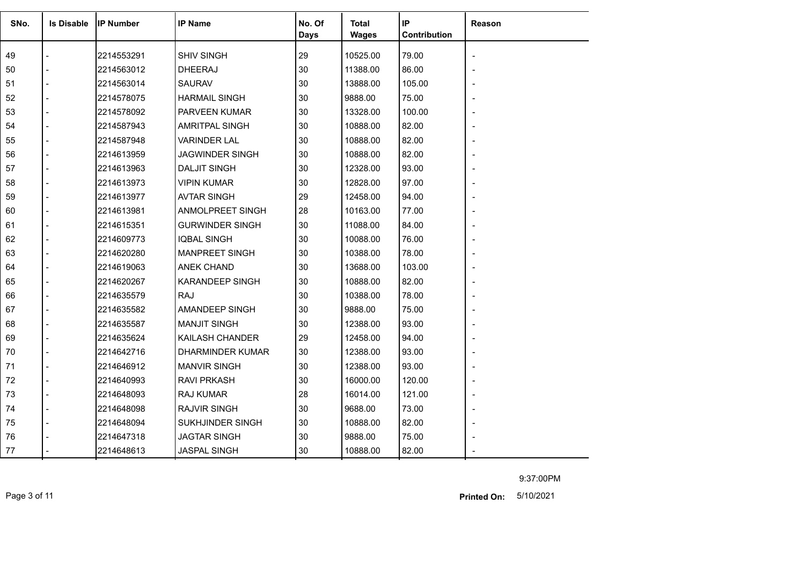| SNo. | <b>Is Disable</b> | <b>IP Number</b> | <b>IP Name</b>         | No. Of<br>Days | <b>Total</b><br><b>Wages</b> | IP<br>Contribution | <b>Reason</b> |
|------|-------------------|------------------|------------------------|----------------|------------------------------|--------------------|---------------|
| 49   |                   | 2214553291       | <b>SHIV SINGH</b>      | 29             | 10525.00                     | 79.00              |               |
| 50   |                   | 2214563012       | <b>DHEERAJ</b>         | 30             | 11388.00                     | 86.00              |               |
| 51   |                   | 2214563014       | <b>SAURAV</b>          | 30             | 13888.00                     | 105.00             |               |
| 52   |                   | 2214578075       | <b>HARMAIL SINGH</b>   | 30             | 9888.00                      | 75.00              |               |
| 53   |                   | 2214578092       | <b>PARVEEN KUMAR</b>   | 30             | 13328.00                     | 100.00             |               |
| 54   |                   | 2214587943       | AMRITPAL SINGH         | 30             | 10888.00                     | 82.00              |               |
| 55   |                   | 2214587948       | <b>VARINDER LAL</b>    | 30             | 10888.00                     | 82.00              |               |
| 56   |                   | 2214613959       | JAGWINDER SINGH        | 30             | 10888.00                     | 82.00              |               |
| 57   |                   | 2214613963       | <b>DALJIT SINGH</b>    | 30             | 12328.00                     | 93.00              |               |
| 58   |                   | 2214613973       | <b>VIPIN KUMAR</b>     | 30             | 12828.00                     | 97.00              |               |
| 59   |                   | 2214613977       | <b>AVTAR SINGH</b>     | 29             | 12458.00                     | 94.00              |               |
| 60   |                   | 2214613981       | ANMOLPREET SINGH       | 28             | 10163.00                     | 77.00              |               |
| 61   |                   | 2214615351       | <b>GURWINDER SINGH</b> | 30             | 11088.00                     | 84.00              |               |
| 62   |                   | 2214609773       | <b>IQBAL SINGH</b>     | 30             | 10088.00                     | 76.00              |               |
| 63   |                   | 2214620280       | <b>MANPREET SINGH</b>  | 30             | 10388.00                     | 78.00              |               |
| 64   |                   | 2214619063       | <b>ANEK CHAND</b>      | 30             | 13688.00                     | 103.00             |               |
| 65   |                   | 2214620267       | <b>KARANDEEP SINGH</b> | 30             | 10888.00                     | 82.00              |               |
| 66   |                   | 2214635579       | <b>RAJ</b>             | 30             | 10388.00                     | 78.00              |               |
| 67   |                   | 2214635582       | AMANDEEP SINGH         | 30             | 9888.00                      | 75.00              |               |
| 68   |                   | 2214635587       | <b>MANJIT SINGH</b>    | 30             | 12388.00                     | 93.00              |               |
| 69   |                   | 2214635624       | KAILASH CHANDER        | 29             | 12458.00                     | 94.00              |               |
| 70   |                   | 2214642716       | DHARMINDER KUMAR       | 30             | 12388.00                     | 93.00              |               |
| 71   |                   | 2214646912       | <b>MANVIR SINGH</b>    | 30             | 12388.00                     | 93.00              |               |
| 72   |                   | 2214640993       | <b>RAVI PRKASH</b>     | 30             | 16000.00                     | 120.00             |               |
| 73   |                   | 2214648093       | <b>RAJ KUMAR</b>       | 28             | 16014.00                     | 121.00             |               |
| 74   |                   | 2214648098       | <b>RAJVIR SINGH</b>    | 30             | 9688.00                      | 73.00              |               |
| 75   |                   | 2214648094       | SUKHJINDER SINGH       | 30             | 10888.00                     | 82.00              |               |
| 76   |                   | 2214647318       | <b>JAGTAR SINGH</b>    | 30             | 9888.00                      | 75.00              |               |
| 77   |                   | 2214648613       | <b>JASPAL SINGH</b>    | 30             | 10888.00                     | 82.00              |               |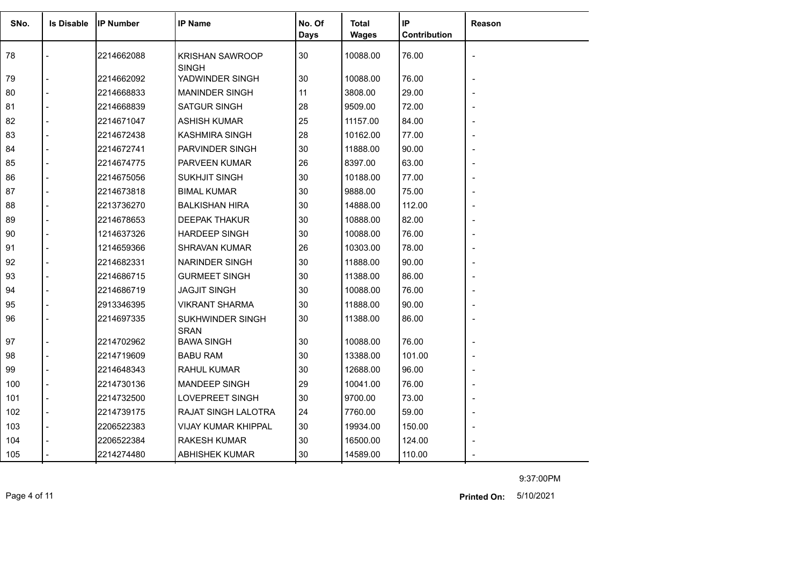| SNo. | <b>Is Disable</b> | <b>IP Number</b> | <b>IP Name</b>                  | No. Of<br><b>Days</b> | <b>Total</b><br><b>Wages</b> | IP<br>Contribution | Reason |
|------|-------------------|------------------|---------------------------------|-----------------------|------------------------------|--------------------|--------|
| 78   |                   | 2214662088       | <b>KRISHAN SAWROOP</b>          | 30                    | 10088.00                     | 76.00              |        |
| 79   |                   | 2214662092       | <b>SINGH</b><br>YADWINDER SINGH | 30                    | 10088.00                     | 76.00              |        |
| 80   |                   | 2214668833       | <b>MANINDER SINGH</b>           | 11                    | 3808.00                      | 29.00              |        |
| 81   |                   | 2214668839       | <b>SATGUR SINGH</b>             | 28                    | 9509.00                      | 72.00              |        |
| 82   |                   | 2214671047       | <b>ASHISH KUMAR</b>             | 25                    | 11157.00                     | 84.00              |        |
| 83   |                   | 2214672438       | KASHMIRA SINGH                  | 28                    | 10162.00                     | 77.00              |        |
| 84   |                   | 2214672741       | PARVINDER SINGH                 | 30                    | 11888.00                     | 90.00              |        |
| 85   |                   | 2214674775       | <b>PARVEEN KUMAR</b>            | 26                    | 8397.00                      | 63.00              |        |
| 86   |                   | 2214675056       | <b>SUKHJIT SINGH</b>            | 30                    | 10188.00                     | 77.00              |        |
| 87   |                   | 2214673818       | <b>BIMAL KUMAR</b>              | 30                    | 9888.00                      | 75.00              |        |
| 88   |                   | 2213736270       | <b>BALKISHAN HIRA</b>           | 30                    | 14888.00                     | 112.00             |        |
| 89   |                   | 2214678653       | <b>DEEPAK THAKUR</b>            | 30                    | 10888.00                     | 82.00              |        |
| 90   |                   | 1214637326       | <b>HARDEEP SINGH</b>            | 30                    | 10088.00                     | 76.00              |        |
| 91   |                   | 1214659366       | <b>SHRAVAN KUMAR</b>            | 26                    | 10303.00                     | 78.00              |        |
| 92   |                   | 2214682331       | <b>NARINDER SINGH</b>           | 30                    | 11888.00                     | 90.00              |        |
| 93   |                   | 2214686715       | <b>GURMEET SINGH</b>            | 30                    | 11388.00                     | 86.00              |        |
| 94   |                   | 2214686719       | <b>JAGJIT SINGH</b>             | 30                    | 10088.00                     | 76.00              |        |
| 95   |                   | 2913346395       | <b>VIKRANT SHARMA</b>           | 30                    | 11888.00                     | 90.00              |        |
| 96   |                   | 2214697335       | SUKHWINDER SINGH<br><b>SRAN</b> | 30                    | 11388.00                     | 86.00              |        |
| 97   |                   | 2214702962       | <b>BAWA SINGH</b>               | 30                    | 10088.00                     | 76.00              |        |
| 98   |                   | 2214719609       | <b>BABU RAM</b>                 | 30                    | 13388.00                     | 101.00             |        |
| 99   |                   | 2214648343       | <b>RAHUL KUMAR</b>              | 30                    | 12688.00                     | 96.00              |        |
| 100  |                   | 2214730136       | <b>MANDEEP SINGH</b>            | 29                    | 10041.00                     | 76.00              |        |
| 101  |                   | 2214732500       | <b>LOVEPREET SINGH</b>          | 30                    | 9700.00                      | 73.00              |        |
| 102  |                   | 2214739175       | RAJAT SINGH LALOTRA             | 24                    | 7760.00                      | 59.00              |        |
| 103  |                   | 2206522383       | VIJAY KUMAR KHIPPAL             | $30\,$                | 19934.00                     | 150.00             |        |
| 104  |                   | 2206522384       | <b>RAKESH KUMAR</b>             | 30                    | 16500.00                     | 124.00             |        |
| 105  |                   | 2214274480       | <b>ABHISHEK KUMAR</b>           | 30                    | 14589.00                     | 110.00             |        |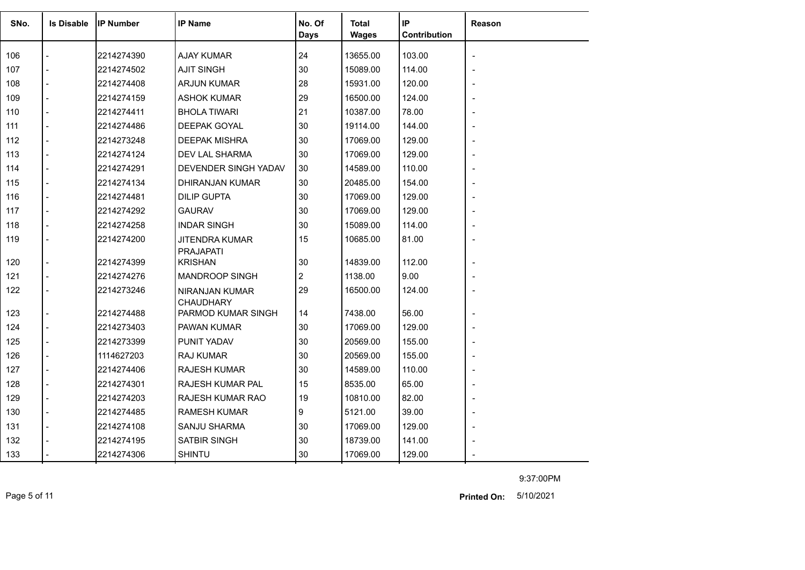| SNo. | <b>Is Disable</b> | <b>IP Number</b> | <b>IP Name</b>                            | No. Of<br>Days | <b>Total</b><br><b>Wages</b> | IP<br>Contribution | <b>Reason</b> |
|------|-------------------|------------------|-------------------------------------------|----------------|------------------------------|--------------------|---------------|
| 106  |                   | 2214274390       | <b>AJAY KUMAR</b>                         | 24             | 13655.00                     | 103.00             |               |
| 107  |                   | 2214274502       | <b>AJIT SINGH</b>                         | 30             | 15089.00                     | 114.00             |               |
| 108  |                   | 2214274408       | <b>ARJUN KUMAR</b>                        | 28             | 15931.00                     | 120.00             |               |
| 109  |                   | 2214274159       | <b>ASHOK KUMAR</b>                        | 29             | 16500.00                     | 124.00             |               |
| 110  |                   | 2214274411       | <b>BHOLA TIWARI</b>                       | 21             | 10387.00                     | 78.00              |               |
| 111  |                   | 2214274486       | DEEPAK GOYAL                              | 30             | 19114.00                     | 144.00             |               |
| 112  |                   | 2214273248       | <b>DEEPAK MISHRA</b>                      | 30             | 17069.00                     | 129.00             |               |
| 113  |                   | 2214274124       | DEV LAL SHARMA                            | 30             | 17069.00                     | 129.00             |               |
| 114  |                   | 2214274291       | DEVENDER SINGH YADAV                      | 30             | 14589.00                     | 110.00             |               |
| 115  |                   | 2214274134       | DHIRANJAN KUMAR                           | 30             | 20485.00                     | 154.00             |               |
| 116  |                   | 2214274481       | <b>DILIP GUPTA</b>                        | 30             | 17069.00                     | 129.00             |               |
| 117  |                   | 2214274292       | <b>GAURAV</b>                             | 30             | 17069.00                     | 129.00             |               |
| 118  |                   | 2214274258       | <b>INDAR SINGH</b>                        | 30             | 15089.00                     | 114.00             |               |
| 119  |                   | 2214274200       | JITENDRA KUMAR<br><b>PRAJAPATI</b>        | 15             | 10685.00                     | 81.00              |               |
| 120  |                   | 2214274399       | <b>KRISHAN</b>                            | 30             | 14839.00                     | 112.00             |               |
| 121  | $\overline{a}$    | 2214274276       | MANDROOP SINGH                            | 2              | 1138.00                      | 9.00               |               |
| 122  | $\overline{a}$    | 2214273246       | <b>NIRANJAN KUMAR</b><br><b>CHAUDHARY</b> | 29             | 16500.00                     | 124.00             |               |
| 123  | $\overline{a}$    | 2214274488       | PARMOD KUMAR SINGH                        | 14             | 7438.00                      | 56.00              |               |
| 124  |                   | 2214273403       | PAWAN KUMAR                               | 30             | 17069.00                     | 129.00             |               |
| 125  |                   | 2214273399       | PUNIT YADAV                               | 30             | 20569.00                     | 155.00             |               |
| 126  |                   | 1114627203       | <b>RAJ KUMAR</b>                          | 30             | 20569.00                     | 155.00             |               |
| 127  |                   | 2214274406       | <b>RAJESH KUMAR</b>                       | 30             | 14589.00                     | 110.00             |               |
| 128  |                   | 2214274301       | RAJESH KUMAR PAL                          | 15             | 8535.00                      | 65.00              |               |
| 129  |                   | 2214274203       | RAJESH KUMAR RAO                          | 19             | 10810.00                     | 82.00              |               |
| 130  |                   | 2214274485       | <b>RAMESH KUMAR</b>                       | 9              | 5121.00                      | 39.00              |               |
| 131  |                   | 2214274108       | <b>SANJU SHARMA</b>                       | 30             | 17069.00                     | 129.00             |               |
| 132  |                   | 2214274195       | SATBIR SINGH                              | 30             | 18739.00                     | 141.00             |               |
| 133  |                   | 2214274306       | <b>SHINTU</b>                             | 30             | 17069.00                     | 129.00             |               |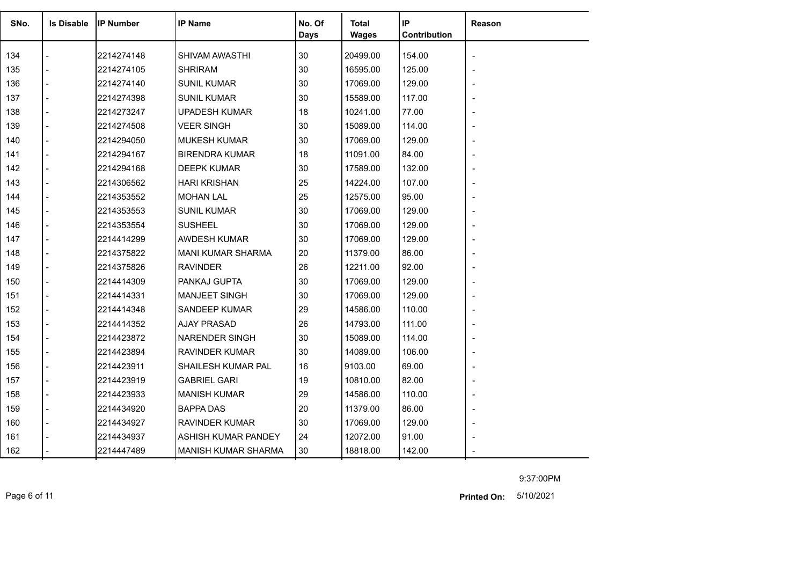| SNo. | <b>Is Disable</b> | <b>IP Number</b> | <b>IP Name</b>             | No. Of<br><b>Days</b> | Total<br>Wages | IP<br>Contribution | Reason |
|------|-------------------|------------------|----------------------------|-----------------------|----------------|--------------------|--------|
| 134  |                   | 2214274148       | SHIVAM AWASTHI             | 30                    | 20499.00       | 154.00             |        |
| 135  |                   | 2214274105       | <b>SHRIRAM</b>             | 30                    | 16595.00       | 125.00             |        |
| 136  |                   | 2214274140       | <b>SUNIL KUMAR</b>         | 30                    | 17069.00       | 129.00             |        |
| 137  |                   | 2214274398       | <b>SUNIL KUMAR</b>         | 30                    | 15589.00       | 117.00             |        |
| 138  |                   | 2214273247       | <b>UPADESH KUMAR</b>       | 18                    | 10241.00       | 77.00              |        |
| 139  |                   | 2214274508       | <b>VEER SINGH</b>          | 30                    | 15089.00       | 114.00             |        |
| 140  |                   | 2214294050       | <b>MUKESH KUMAR</b>        | 30                    | 17069.00       | 129.00             |        |
| 141  |                   | 2214294167       | <b>BIRENDRA KUMAR</b>      | 18                    | 11091.00       | 84.00              |        |
| 142  |                   | 2214294168       | <b>DEEPK KUMAR</b>         | 30                    | 17589.00       | 132.00             |        |
| 143  |                   | 2214306562       | <b>HARI KRISHAN</b>        | 25                    | 14224.00       | 107.00             |        |
| 144  |                   | 2214353552       | <b>MOHAN LAL</b>           | 25                    | 12575.00       | 95.00              |        |
| 145  |                   | 2214353553       | <b>SUNIL KUMAR</b>         | 30                    | 17069.00       | 129.00             |        |
| 146  |                   | 2214353554       | <b>SUSHEEL</b>             | 30                    | 17069.00       | 129.00             |        |
| 147  |                   | 2214414299       | <b>AWDESH KUMAR</b>        | 30                    | 17069.00       | 129.00             |        |
| 148  |                   | 2214375822       | <b>MANI KUMAR SHARMA</b>   | 20                    | 11379.00       | 86.00              |        |
| 149  |                   | 2214375826       | <b>RAVINDER</b>            | 26                    | 12211.00       | 92.00              |        |
| 150  |                   | 2214414309       | PANKAJ GUPTA               | 30                    | 17069.00       | 129.00             |        |
| 151  |                   | 2214414331       | MANJEET SINGH              | 30                    | 17069.00       | 129.00             |        |
| 152  |                   | 2214414348       | SANDEEP KUMAR              | 29                    | 14586.00       | 110.00             |        |
| 153  |                   | 2214414352       | <b>AJAY PRASAD</b>         | 26                    | 14793.00       | 111.00             |        |
| 154  |                   | 2214423872       | <b>NARENDER SINGH</b>      | 30                    | 15089.00       | 114.00             |        |
| 155  |                   | 2214423894       | <b>RAVINDER KUMAR</b>      | 30                    | 14089.00       | 106.00             |        |
| 156  |                   | 2214423911       | SHAILESH KUMAR PAL         | 16                    | 9103.00        | 69.00              |        |
| 157  |                   | 2214423919       | <b>GABRIEL GARI</b>        | 19                    | 10810.00       | 82.00              |        |
| 158  |                   | 2214423933       | <b>MANISH KUMAR</b>        | 29                    | 14586.00       | 110.00             |        |
| 159  |                   | 2214434920       | <b>BAPPA DAS</b>           | 20                    | 11379.00       | 86.00              |        |
| 160  |                   | 2214434927       | <b>RAVINDER KUMAR</b>      | 30                    | 17069.00       | 129.00             |        |
| 161  |                   | 2214434937       | ASHISH KUMAR PANDEY        | 24                    | 12072.00       | 91.00              |        |
| 162  |                   | 2214447489       | <b>MANISH KUMAR SHARMA</b> | 30                    | 18818.00       | 142.00             |        |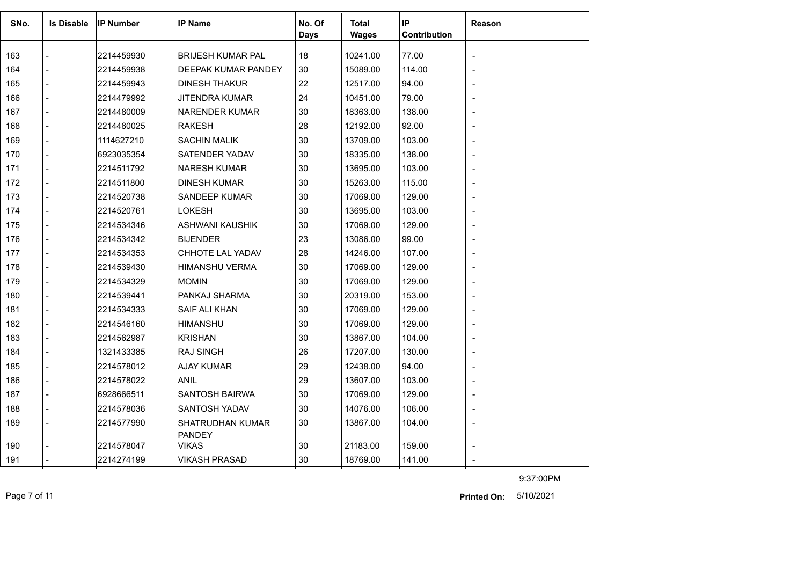| SNo. | <b>Is Disable</b> | <b>IP Number</b> | <b>IP Name</b>                    | No. Of<br><b>Days</b> | Total<br><b>Wages</b> | IP<br><b>Contribution</b> | Reason |
|------|-------------------|------------------|-----------------------------------|-----------------------|-----------------------|---------------------------|--------|
| 163  |                   | 2214459930       | <b>BRIJESH KUMAR PAL</b>          | 18                    | 10241.00              | 77.00                     |        |
| 164  |                   | 2214459938       | DEEPAK KUMAR PANDEY               | 30                    | 15089.00              | 114.00                    |        |
| 165  |                   | 2214459943       | DINESH THAKUR                     | 22                    | 12517.00              | 94.00                     |        |
| 166  |                   | 2214479992       | <b>JITENDRA KUMAR</b>             | 24                    | 10451.00              | 79.00                     |        |
| 167  |                   | 2214480009       | NARENDER KUMAR                    | 30                    | 18363.00              | 138.00                    |        |
| 168  |                   | 2214480025       | <b>RAKESH</b>                     | 28                    | 12192.00              | 92.00                     |        |
| 169  |                   | 1114627210       | <b>SACHIN MALIK</b>               | 30                    | 13709.00              | 103.00                    |        |
| 170  |                   | 6923035354       | SATENDER YADAV                    | 30                    | 18335.00              | 138.00                    |        |
| 171  |                   | 2214511792       | <b>NARESH KUMAR</b>               | 30                    | 13695.00              | 103.00                    |        |
| 172  |                   | 2214511800       | <b>DINESH KUMAR</b>               | 30                    | 15263.00              | 115.00                    |        |
| 173  |                   | 2214520738       | SANDEEP KUMAR                     | 30                    | 17069.00              | 129.00                    |        |
| 174  |                   | 2214520761       | <b>LOKESH</b>                     | 30                    | 13695.00              | 103.00                    |        |
| 175  |                   | 2214534346       | <b>ASHWANI KAUSHIK</b>            | 30                    | 17069.00              | 129.00                    |        |
| 176  |                   | 2214534342       | <b>BIJENDER</b>                   | 23                    | 13086.00              | 99.00                     |        |
| 177  |                   | 2214534353       | CHHOTE LAL YADAV                  | 28                    | 14246.00              | 107.00                    |        |
| 178  |                   | 2214539430       | <b>HIMANSHU VERMA</b>             | 30                    | 17069.00              | 129.00                    |        |
| 179  |                   | 2214534329       | <b>MOMIN</b>                      | 30                    | 17069.00              | 129.00                    |        |
| 180  |                   | 2214539441       | PANKAJ SHARMA                     | 30                    | 20319.00              | 153.00                    |        |
| 181  |                   | 2214534333       | SAIF ALI KHAN                     | 30                    | 17069.00              | 129.00                    |        |
| 182  |                   | 2214546160       | <b>HIMANSHU</b>                   | 30                    | 17069.00              | 129.00                    |        |
| 183  |                   | 2214562987       | <b>KRISHAN</b>                    | 30                    | 13867.00              | 104.00                    |        |
| 184  |                   | 1321433385       | <b>RAJ SINGH</b>                  | 26                    | 17207.00              | 130.00                    |        |
| 185  |                   | 2214578012       | <b>AJAY KUMAR</b>                 | 29                    | 12438.00              | 94.00                     |        |
| 186  |                   | 2214578022       | <b>ANIL</b>                       | 29                    | 13607.00              | 103.00                    |        |
| 187  |                   | 6928666511       | SANTOSH BAIRWA                    | 30                    | 17069.00              | 129.00                    |        |
| 188  |                   | 2214578036       | SANTOSH YADAV                     | 30                    | 14076.00              | 106.00                    |        |
| 189  |                   | 2214577990       | SHATRUDHAN KUMAR<br><b>PANDEY</b> | 30                    | 13867.00              | 104.00                    |        |
| 190  |                   | 2214578047       | <b>VIKAS</b>                      | 30                    | 21183.00              | 159.00                    |        |
| 191  |                   | 2214274199       | <b>VIKASH PRASAD</b>              | 30                    | 18769.00              | 141.00                    |        |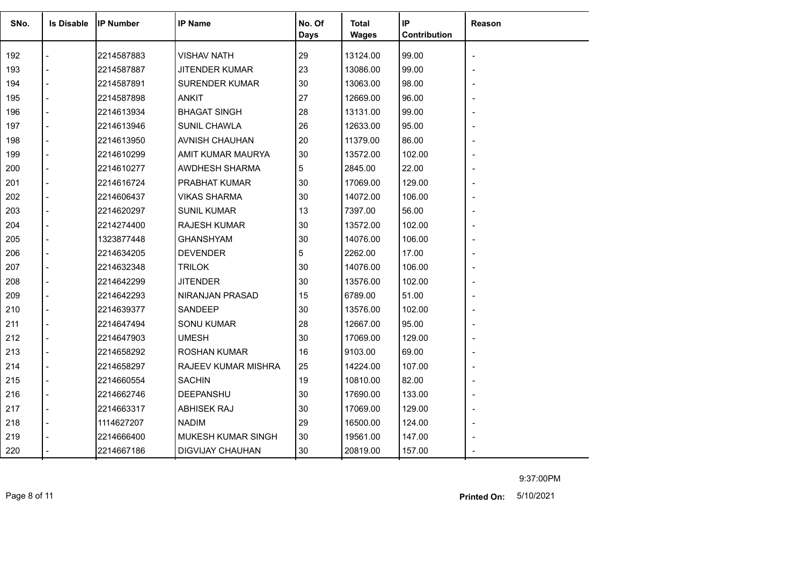| SNo. | <b>Is Disable</b> | <b>IP Number</b> | <b>IP Name</b>        | No. Of<br><b>Days</b> | <b>Total</b><br><b>Wages</b> | IP<br>Contribution | Reason |
|------|-------------------|------------------|-----------------------|-----------------------|------------------------------|--------------------|--------|
| 192  |                   | 2214587883       | <b>VISHAV NATH</b>    | 29                    | 13124.00                     | 99.00              |        |
| 193  |                   | 2214587887       | <b>JITENDER KUMAR</b> | 23                    | 13086.00                     | 99.00              |        |
| 194  |                   | 2214587891       | <b>SURENDER KUMAR</b> | 30                    | 13063.00                     | 98.00              |        |
| 195  |                   | 2214587898       | <b>ANKIT</b>          | 27                    | 12669.00                     | 96.00              |        |
| 196  |                   | 2214613934       | <b>BHAGAT SINGH</b>   | 28                    | 13131.00                     | 99.00              |        |
| 197  |                   | 2214613946       | <b>SUNIL CHAWLA</b>   | 26                    | 12633.00                     | 95.00              |        |
| 198  |                   | 2214613950       | AVNISH CHAUHAN        | 20                    | 11379.00                     | 86.00              |        |
| 199  |                   | 2214610299       | AMIT KUMAR MAURYA     | 30                    | 13572.00                     | 102.00             |        |
| 200  |                   | 2214610277       | AWDHESH SHARMA        | 5                     | 2845.00                      | 22.00              |        |
| 201  |                   | 2214616724       | PRABHAT KUMAR         | 30                    | 17069.00                     | 129.00             |        |
| 202  |                   | 2214606437       | <b>VIKAS SHARMA</b>   | 30                    | 14072.00                     | 106.00             |        |
| 203  |                   | 2214620297       | <b>SUNIL KUMAR</b>    | 13                    | 7397.00                      | 56.00              |        |
| 204  |                   | 2214274400       | <b>RAJESH KUMAR</b>   | 30                    | 13572.00                     | 102.00             |        |
| 205  |                   | 1323877448       | <b>GHANSHYAM</b>      | 30                    | 14076.00                     | 106.00             |        |
| 206  |                   | 2214634205       | <b>DEVENDER</b>       | 5                     | 2262.00                      | 17.00              |        |
| 207  |                   | 2214632348       | <b>TRILOK</b>         | 30                    | 14076.00                     | 106.00             |        |
| 208  |                   | 2214642299       | <b>JITENDER</b>       | 30                    | 13576.00                     | 102.00             |        |
| 209  |                   | 2214642293       | NIRANJAN PRASAD       | 15                    | 6789.00                      | 51.00              |        |
| 210  |                   | 2214639377       | SANDEEP               | 30                    | 13576.00                     | 102.00             |        |
| 211  |                   | 2214647494       | <b>SONU KUMAR</b>     | 28                    | 12667.00                     | 95.00              |        |
| 212  |                   | 2214647903       | <b>UMESH</b>          | 30                    | 17069.00                     | 129.00             |        |
| 213  |                   | 2214658292       | <b>ROSHAN KUMAR</b>   | 16                    | 9103.00                      | 69.00              |        |
| 214  |                   | 2214658297       | RAJEEV KUMAR MISHRA   | 25                    | 14224.00                     | 107.00             |        |
| 215  |                   | 2214660554       | <b>SACHIN</b>         | 19                    | 10810.00                     | 82.00              |        |
| 216  |                   | 2214662746       | <b>DEEPANSHU</b>      | 30                    | 17690.00                     | 133.00             |        |
| 217  |                   | 2214663317       | <b>ABHISEK RAJ</b>    | 30                    | 17069.00                     | 129.00             |        |
| 218  |                   | 1114627207       | <b>NADIM</b>          | 29                    | 16500.00                     | 124.00             |        |
| 219  |                   | 2214666400       | MUKESH KUMAR SINGH    | 30                    | 19561.00                     | 147.00             |        |
| 220  |                   | 2214667186       | DIGVIJAY CHAUHAN      | 30                    | 20819.00                     | 157.00             |        |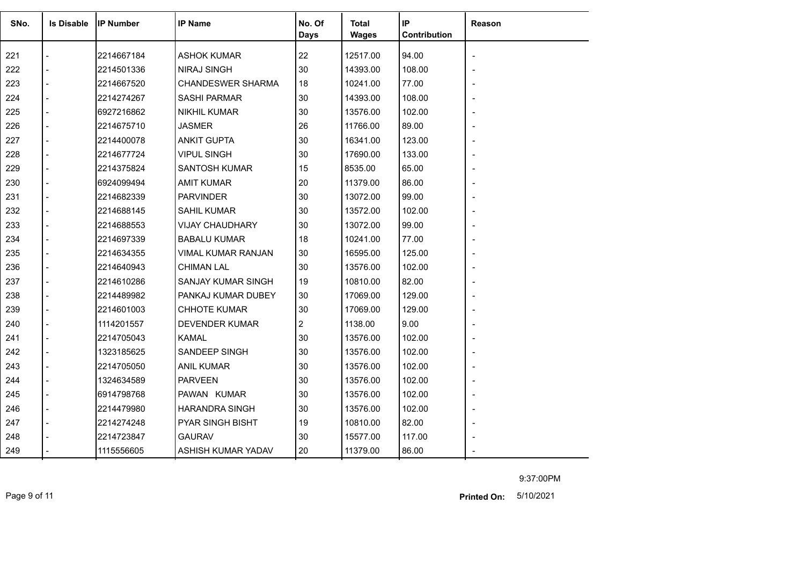| SNo. | <b>Is Disable</b> | <b>IP Number</b> | <b>IP Name</b>           | No. Of<br><b>Days</b> | Total<br><b>Wages</b> | IP<br>Contribution | Reason                   |
|------|-------------------|------------------|--------------------------|-----------------------|-----------------------|--------------------|--------------------------|
| 221  |                   | 2214667184       | <b>ASHOK KUMAR</b>       | 22                    | 12517.00              | 94.00              |                          |
| 222  |                   | 2214501336       | <b>NIRAJ SINGH</b>       | 30                    | 14393.00              | 108.00             |                          |
| 223  |                   | 2214667520       | <b>CHANDESWER SHARMA</b> | 18                    | 10241.00              | 77.00              |                          |
| 224  |                   | 2214274267       | <b>SASHI PARMAR</b>      | 30                    | 14393.00              | 108.00             |                          |
| 225  |                   | 6927216862       | <b>NIKHIL KUMAR</b>      | 30                    | 13576.00              | 102.00             |                          |
| 226  |                   | 2214675710       | <b>JASMER</b>            | 26                    | 11766.00              | 89.00              |                          |
| 227  |                   | 2214400078       | <b>ANKIT GUPTA</b>       | 30                    | 16341.00              | 123.00             |                          |
| 228  |                   | 2214677724       | <b>VIPUL SINGH</b>       | 30                    | 17690.00              | 133.00             |                          |
| 229  |                   | 2214375824       | <b>SANTOSH KUMAR</b>     | 15                    | 8535.00               | 65.00              |                          |
| 230  |                   | 6924099494       | <b>AMIT KUMAR</b>        | 20                    | 11379.00              | 86.00              |                          |
| 231  |                   | 2214682339       | <b>PARVINDER</b>         | 30                    | 13072.00              | 99.00              |                          |
| 232  |                   | 2214688145       | <b>SAHIL KUMAR</b>       | 30                    | 13572.00              | 102.00             |                          |
| 233  |                   | 2214688553       | <b>VIJAY CHAUDHARY</b>   | 30                    | 13072.00              | 99.00              |                          |
| 234  |                   | 2214697339       | <b>BABALU KUMAR</b>      | 18                    | 10241.00              | 77.00              |                          |
| 235  |                   | 2214634355       | VIMAL KUMAR RANJAN       | 30                    | 16595.00              | 125.00             |                          |
| 236  |                   | 2214640943       | <b>CHIMAN LAL</b>        | 30                    | 13576.00              | 102.00             |                          |
| 237  |                   | 2214610286       | SANJAY KUMAR SINGH       | 19                    | 10810.00              | 82.00              |                          |
| 238  |                   | 2214489982       | PANKAJ KUMAR DUBEY       | 30                    | 17069.00              | 129.00             |                          |
| 239  |                   | 2214601003       | <b>CHHOTE KUMAR</b>      | 30                    | 17069.00              | 129.00             |                          |
| 240  |                   | 1114201557       | <b>DEVENDER KUMAR</b>    | $\overline{2}$        | 1138.00               | 9.00               |                          |
| 241  |                   | 2214705043       | <b>KAMAL</b>             | 30                    | 13576.00              | 102.00             |                          |
| 242  |                   | 1323185625       | SANDEEP SINGH            | 30                    | 13576.00              | 102.00             |                          |
| 243  |                   | 2214705050       | <b>ANIL KUMAR</b>        | 30                    | 13576.00              | 102.00             |                          |
| 244  |                   | 1324634589       | <b>PARVEEN</b>           | 30                    | 13576.00              | 102.00             |                          |
| 245  |                   | 6914798768       | PAWAN KUMAR              | 30                    | 13576.00              | 102.00             |                          |
| 246  |                   | 2214479980       | <b>HARANDRA SINGH</b>    | 30                    | 13576.00              | 102.00             | $\overline{\phantom{0}}$ |
| 247  |                   | 2214274248       | PYAR SINGH BISHT         | 19                    | 10810.00              | 82.00              |                          |
| 248  |                   | 2214723847       | <b>GAURAV</b>            | 30                    | 15577.00              | 117.00             |                          |
| 249  |                   | 1115556605       | ASHISH KUMAR YADAV       | 20                    | 11379.00              | 86.00              |                          |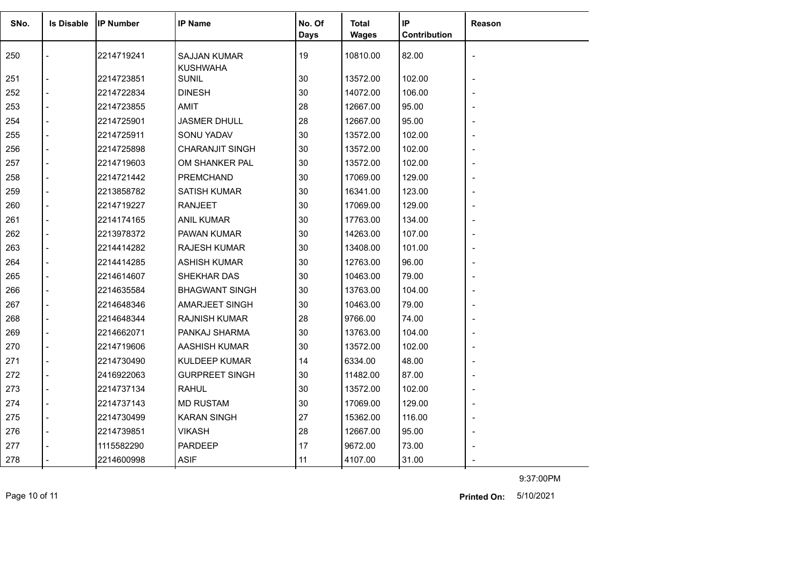| SNo. | <b>Is Disable</b>        | <b>IP Number</b> | <b>IP Name</b>                         | No. Of      | <b>Total</b> | IP           | Reason |
|------|--------------------------|------------------|----------------------------------------|-------------|--------------|--------------|--------|
|      |                          |                  |                                        | <b>Days</b> | <b>Wages</b> | Contribution |        |
| 250  |                          | 2214719241       | <b>SAJJAN KUMAR</b><br><b>KUSHWAHA</b> | 19          | 10810.00     | 82.00        |        |
| 251  |                          | 2214723851       | <b>SUNIL</b>                           | 30          | 13572.00     | 102.00       |        |
| 252  |                          | 2214722834       | <b>DINESH</b>                          | 30          | 14072.00     | 106.00       |        |
| 253  | $\overline{a}$           | 2214723855       | AMIT                                   | 28          | 12667.00     | 95.00        |        |
| 254  |                          | 2214725901       | <b>JASMER DHULL</b>                    | 28          | 12667.00     | 95.00        |        |
| 255  |                          | 2214725911       | SONU YADAV                             | 30          | 13572.00     | 102.00       |        |
| 256  | $\overline{a}$           | 2214725898       | <b>CHARANJIT SINGH</b>                 | 30          | 13572.00     | 102.00       |        |
| 257  | $\blacksquare$           | 2214719603       | OM SHANKER PAL                         | 30          | 13572.00     | 102.00       |        |
| 258  | $\overline{a}$           | 2214721442       | <b>PREMCHAND</b>                       | 30          | 17069.00     | 129.00       |        |
| 259  | $\overline{a}$           | 2213858782       | <b>SATISH KUMAR</b>                    | 30          | 16341.00     | 123.00       |        |
| 260  | $\overline{a}$           | 2214719227       | <b>RANJEET</b>                         | 30          | 17069.00     | 129.00       |        |
| 261  | $\overline{a}$           | 2214174165       | <b>ANIL KUMAR</b>                      | 30          | 17763.00     | 134.00       |        |
| 262  | $\blacksquare$           | 2213978372       | PAWAN KUMAR                            | 30          | 14263.00     | 107.00       |        |
| 263  | $\overline{a}$           | 2214414282       | <b>RAJESH KUMAR</b>                    | 30          | 13408.00     | 101.00       |        |
| 264  | $\overline{a}$           | 2214414285       | ASHISH KUMAR                           | 30          | 12763.00     | 96.00        |        |
| 265  |                          | 2214614607       | SHEKHAR DAS                            | 30          | 10463.00     | 79.00        |        |
| 266  | $\overline{a}$           | 2214635584       | <b>BHAGWANT SINGH</b>                  | 30          | 13763.00     | 104.00       |        |
| 267  | $\blacksquare$           | 2214648346       | AMARJEET SINGH                         | 30          | 10463.00     | 79.00        |        |
| 268  | $\overline{a}$           | 2214648344       | <b>RAJNISH KUMAR</b>                   | 28          | 9766.00      | 74.00        |        |
| 269  | $\overline{a}$           | 2214662071       | PANKAJ SHARMA                          | 30          | 13763.00     | 104.00       |        |
| 270  | $\overline{a}$           | 2214719606       | AASHISH KUMAR                          | 30          | 13572.00     | 102.00       |        |
| 271  |                          | 2214730490       | <b>KULDEEP KUMAR</b>                   | 14          | 6334.00      | 48.00        |        |
| 272  | $\overline{\phantom{a}}$ | 2416922063       | <b>GURPREET SINGH</b>                  | 30          | 11482.00     | 87.00        |        |
| 273  | $\overline{a}$           | 2214737134       | <b>RAHUL</b>                           | 30          | 13572.00     | 102.00       |        |
| 274  | $\overline{a}$           | 2214737143       | <b>MD RUSTAM</b>                       | 30          | 17069.00     | 129.00       |        |
| 275  | $\overline{a}$           | 2214730499       | <b>KARAN SINGH</b>                     | 27          | 15362.00     | 116.00       |        |
| 276  | $\overline{a}$           | 2214739851       | <b>VIKASH</b>                          | 28          | 12667.00     | 95.00        |        |
| 277  |                          | 1115582290       | <b>PARDEEP</b>                         | 17          | 9672.00      | 73.00        |        |
| 278  |                          | 2214600998       | <b>ASIF</b>                            | 11          | 4107.00      | 31.00        |        |

Page 10 of 11 5/10/2021 **Printed On:**